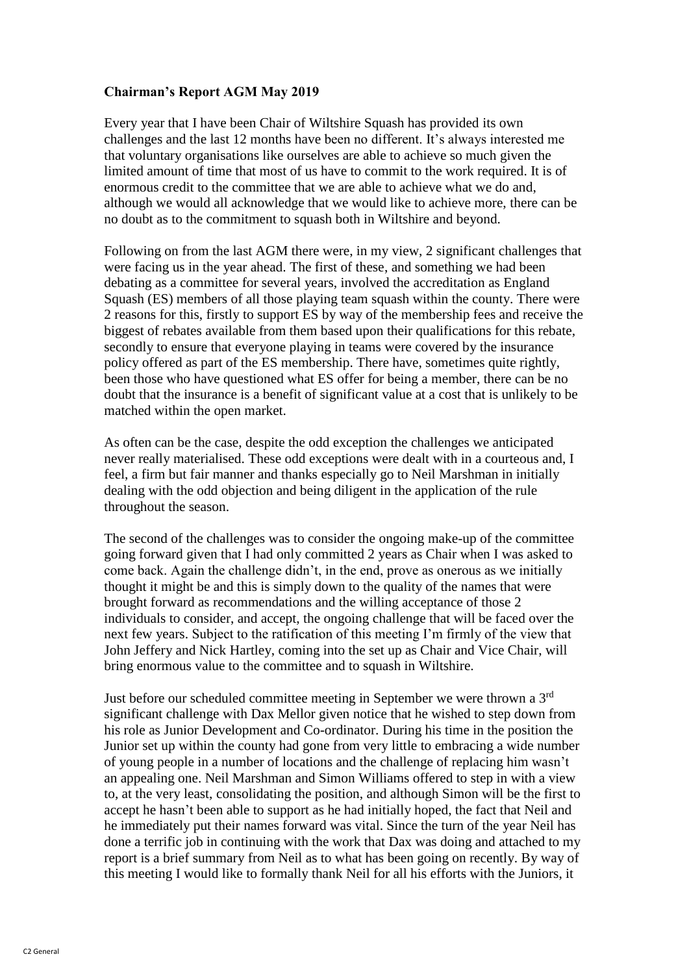## **Chairman's Report AGM May 2019**

Every year that I have been Chair of Wiltshire Squash has provided its own challenges and the last 12 months have been no different. It's always interested me that voluntary organisations like ourselves are able to achieve so much given the limited amount of time that most of us have to commit to the work required. It is of enormous credit to the committee that we are able to achieve what we do and, although we would all acknowledge that we would like to achieve more, there can be no doubt as to the commitment to squash both in Wiltshire and beyond.

Following on from the last AGM there were, in my view, 2 significant challenges that were facing us in the year ahead. The first of these, and something we had been debating as a committee for several years, involved the accreditation as England Squash (ES) members of all those playing team squash within the county. There were 2 reasons for this, firstly to support ES by way of the membership fees and receive the biggest of rebates available from them based upon their qualifications for this rebate, secondly to ensure that everyone playing in teams were covered by the insurance policy offered as part of the ES membership. There have, sometimes quite rightly, been those who have questioned what ES offer for being a member, there can be no doubt that the insurance is a benefit of significant value at a cost that is unlikely to be matched within the open market.

As often can be the case, despite the odd exception the challenges we anticipated never really materialised. These odd exceptions were dealt with in a courteous and, I feel, a firm but fair manner and thanks especially go to Neil Marshman in initially dealing with the odd objection and being diligent in the application of the rule throughout the season.

The second of the challenges was to consider the ongoing make-up of the committee going forward given that I had only committed 2 years as Chair when I was asked to come back. Again the challenge didn't, in the end, prove as onerous as we initially thought it might be and this is simply down to the quality of the names that were brought forward as recommendations and the willing acceptance of those 2 individuals to consider, and accept, the ongoing challenge that will be faced over the next few years. Subject to the ratification of this meeting I'm firmly of the view that John Jeffery and Nick Hartley, coming into the set up as Chair and Vice Chair, will bring enormous value to the committee and to squash in Wiltshire.

Just before our scheduled committee meeting in September we were thrown a 3rd significant challenge with Dax Mellor given notice that he wished to step down from his role as Junior Development and Co-ordinator. During his time in the position the Junior set up within the county had gone from very little to embracing a wide number of young people in a number of locations and the challenge of replacing him wasn't an appealing one. Neil Marshman and Simon Williams offered to step in with a view to, at the very least, consolidating the position, and although Simon will be the first to accept he hasn't been able to support as he had initially hoped, the fact that Neil and he immediately put their names forward was vital. Since the turn of the year Neil has done a terrific job in continuing with the work that Dax was doing and attached to my report is a brief summary from Neil as to what has been going on recently. By way of this meeting I would like to formally thank Neil for all his efforts with the Juniors, it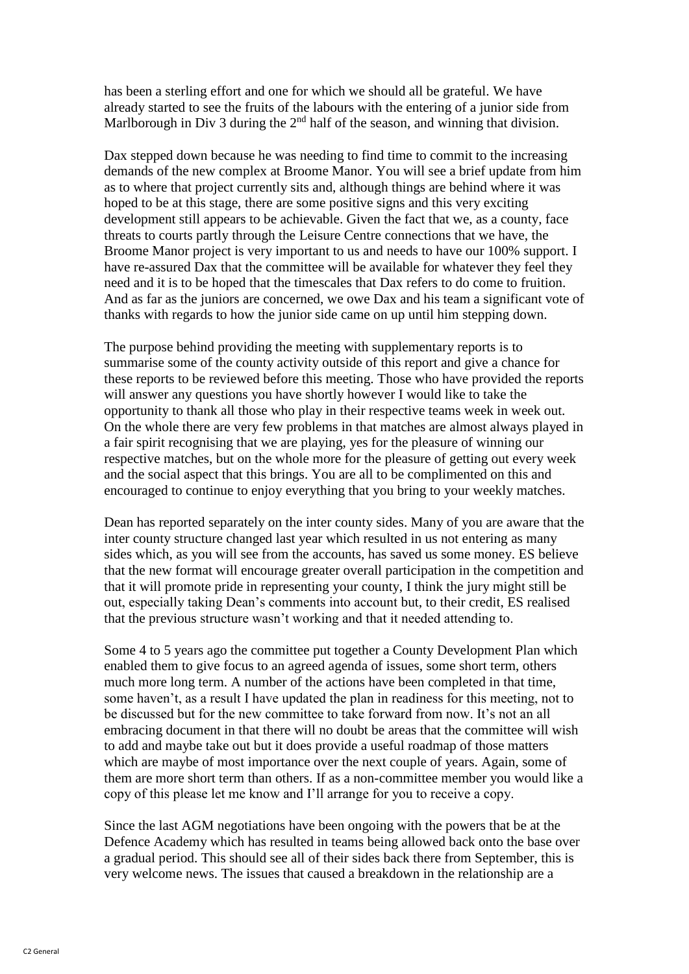has been a sterling effort and one for which we should all be grateful. We have already started to see the fruits of the labours with the entering of a junior side from Marlborough in Div 3 during the 2<sup>nd</sup> half of the season, and winning that division.

Dax stepped down because he was needing to find time to commit to the increasing demands of the new complex at Broome Manor. You will see a brief update from him as to where that project currently sits and, although things are behind where it was hoped to be at this stage, there are some positive signs and this very exciting development still appears to be achievable. Given the fact that we, as a county, face threats to courts partly through the Leisure Centre connections that we have, the Broome Manor project is very important to us and needs to have our 100% support. I have re-assured Dax that the committee will be available for whatever they feel they need and it is to be hoped that the timescales that Dax refers to do come to fruition. And as far as the juniors are concerned, we owe Dax and his team a significant vote of thanks with regards to how the junior side came on up until him stepping down.

The purpose behind providing the meeting with supplementary reports is to summarise some of the county activity outside of this report and give a chance for these reports to be reviewed before this meeting. Those who have provided the reports will answer any questions you have shortly however I would like to take the opportunity to thank all those who play in their respective teams week in week out. On the whole there are very few problems in that matches are almost always played in a fair spirit recognising that we are playing, yes for the pleasure of winning our respective matches, but on the whole more for the pleasure of getting out every week and the social aspect that this brings. You are all to be complimented on this and encouraged to continue to enjoy everything that you bring to your weekly matches.

Dean has reported separately on the inter county sides. Many of you are aware that the inter county structure changed last year which resulted in us not entering as many sides which, as you will see from the accounts, has saved us some money. ES believe that the new format will encourage greater overall participation in the competition and that it will promote pride in representing your county, I think the jury might still be out, especially taking Dean's comments into account but, to their credit, ES realised that the previous structure wasn't working and that it needed attending to.

Some 4 to 5 years ago the committee put together a County Development Plan which enabled them to give focus to an agreed agenda of issues, some short term, others much more long term. A number of the actions have been completed in that time, some haven't, as a result I have updated the plan in readiness for this meeting, not to be discussed but for the new committee to take forward from now. It's not an all embracing document in that there will no doubt be areas that the committee will wish to add and maybe take out but it does provide a useful roadmap of those matters which are maybe of most importance over the next couple of years. Again, some of them are more short term than others. If as a non-committee member you would like a copy of this please let me know and I'll arrange for you to receive a copy.

Since the last AGM negotiations have been ongoing with the powers that be at the Defence Academy which has resulted in teams being allowed back onto the base over a gradual period. This should see all of their sides back there from September, this is very welcome news. The issues that caused a breakdown in the relationship are a